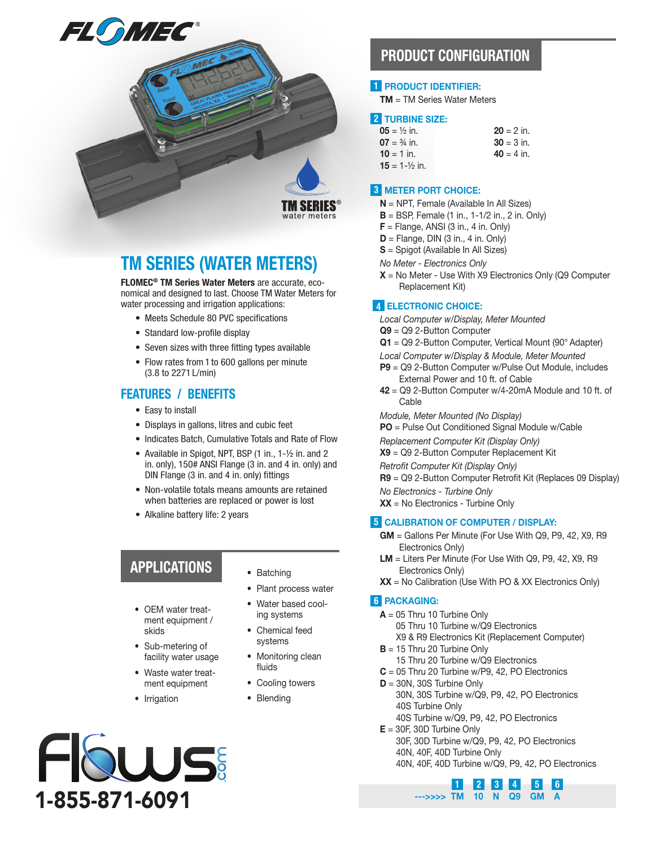

## TM SERIES (WATER METERS)

FLOMEC® TM Series Water Meters are accurate, economical and designed to last. Choose TM Water Meters for water processing and irrigation applications:

- Meets Schedule 80 PVC specifications
- Standard low-profile display
- Seven sizes with three fitting types available
- Flow rates from 1 to 600 gallons per minute (3.8 to 2271 L/min)

#### FEATURES / BENEFITS

- Easy to install
- Displays in gallons, litres and cubic feet
- Indicates Batch, Cumulative Totals and Rate of Flow
- Available in Spigot, NPT, BSP (1 in., 1-½ in. and 2 in. only), 150# ANSI Flange (3 in. and 4 in. only) and DIN Flange (3 in. and 4 in. only) fittings
- Non-volatile totals means amounts are retained when batteries are replaced or power is lost
- Alkaline battery life: 2 years

## APPLICATIONS

- OEM water treatment equipment / skids
- Sub-metering of facility water usage
- Waste water treatment equipment
- Irrigation



- Batching
- Plant process water
- Water based cooling systems
- Chemical feed systems
- Monitoring clean fluids
- Cooling towers
- Blending

## PRODUCT CONFIGURATION

#### 1 PRODUCT IDENTIFIER:

TM = TM Series Water Meters

#### 2 TURBINE SIZE:

| <b>05</b> = $\frac{1}{2}$ in. | $20 = 2$ in. |
|-------------------------------|--------------|
| <b>07</b> = $\frac{3}{4}$ in. | $30 = 3$ in. |
| $10 = 1$ in.                  | $40 = 4$ in. |
| $15 = 1 - \frac{1}{2}$ in.    |              |

#### 3 METER PORT CHOICE:

- $N = NPT$ . Female (Available In All Sizes)
- $B = BSP$ , Female (1 in., 1-1/2 in., 2 in. Only)
- $F =$  Flange, ANSI (3 in., 4 in. Only)
- $D =$  Flange, DIN (3 in., 4 in. Only)
- S = Spigot (Available In All Sizes)
- *No Meter Electronics Only*
- $X = No$  Meter Use With X9 Electronics Only (Q9 Computer Replacement Kit)

#### 4 ELECTRONIC CHOICE:

*Local Computer w/Display, Meter Mounted*

- Q9 = Q9 2-Button Computer
- Q1 = Q9 2-Button Computer, Vertical Mount (90° Adapter)
- *Local Computer w/Display & Module, Meter Mounted*
- P9 = Q9 2-Button Computer w/Pulse Out Module, includes External Power and 10 ft. of Cable
- 42 = Q9 2-Button Computer w/4-20mA Module and 10 ft. of Cable

*Module, Meter Mounted (No Display)*

PO = Pulse Out Conditioned Signal Module w/Cable

*Replacement Computer Kit (Display Only)*

X9 = Q9 2-Button Computer Replacement Kit

*Retrofit Computer Kit (Display Only)*

R9 = Q9 2-Button Computer Retrofit Kit (Replaces 09 Display)

*No Electronics - Turbine Only*  $XX = No$  Electronics - Turbine Only

#### 5 CALIBRATION OF COMPUTER / DISPLAY:

- GM = Gallons Per Minute (For Use With Q9, P9, 42, X9, R9 Electronics Only)
- LM = Liters Per Minute (For Use With Q9, P9, 42, X9, R9 Electronics Only)
- $XX = No$  Calibration (Use With PO & XX Electronics Only)

#### 6 PACKAGING:

- $A = 05$  Thru 10 Turbine Only
	- 05 Thru 10 Turbine w/Q9 Electronics
	- X9 & R9 Electronics Kit (Replacement Computer)
- $B = 15$  Thru 20 Turbine Only
	- 15 Thru 20 Turbine w/Q9 Electronics
- $C = 05$  Thru 20 Turbine w/P9, 42, PO Electronics
- $D = 30N$ , 30S Turbine Only 30N, 30S Turbine w/Q9, P9, 42, PO Electronics 40S Turbine Only
	- 40S Turbine w/Q9, P9, 42, PO Electronics
- $E = 30F$ , 30D Turbine Only
	- 30F, 30D Turbine w/Q9, P9, 42, PO Electronics
	- 40N, 40F, 40D Turbine Only
	- **2 3 4** 40N, 40F, 40D Turbine w/Q9, P9, 42, PO Electronics

5 6

--->>>> TM 10 N Q9 GM A